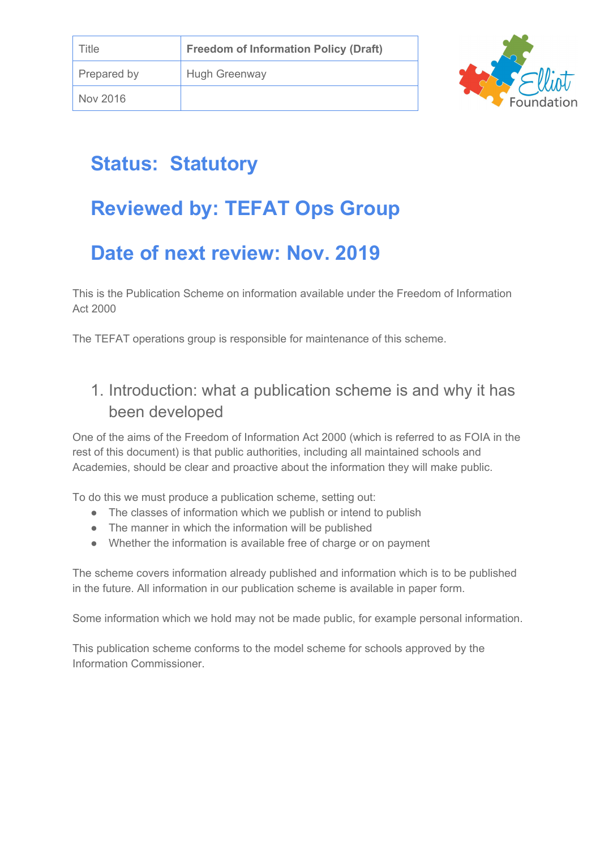

# **Status: Statutory**

# **Reviewed by: TEFAT Ops Group**

# **Date of next review: Nov. 2019**

This is the Publication Scheme on information available under the Freedom of Information Act 2000

The TEFAT operations group is responsible for maintenance of this scheme.

### 1. Introduction: what a publication scheme is and why it has been developed

One of the aims of the Freedom of Information Act 2000 (which is referred to as FOIA in the rest of this document) is that public authorities, including all maintained schools and Academies, should be clear and proactive about the information they will make public.

To do this we must produce a publication scheme, setting out:

- The classes of information which we publish or intend to publish
- The manner in which the information will be published
- Whether the information is available free of charge or on payment

The scheme covers information already published and information which is to be published in the future. All information in our publication scheme is available in paper form.

Some information which we hold may not be made public, for example personal information.

This publication scheme conforms to the model scheme for schools approved by the Information Commissioner.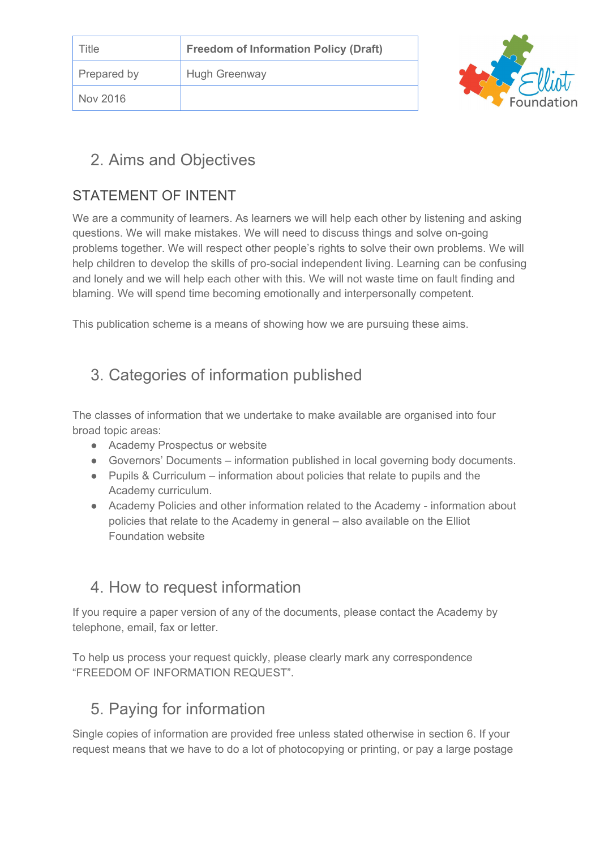| Title       | <b>Freedom of Information Policy (Draft)</b> |  |
|-------------|----------------------------------------------|--|
| Prepared by | <b>Hugh Greenway</b>                         |  |
| Nov 2016    |                                              |  |



#### 2. Aims and Objectives

#### STATEMENT OF INTENT

We are a community of learners. As learners we will help each other by listening and asking questions. We will make mistakes. We will need to discuss things and solve on-going problems together. We will respect other people's rights to solve their own problems. We will help children to develop the skills of pro-social independent living. Learning can be confusing and lonely and we will help each other with this. We will not waste time on fault finding and blaming. We will spend time becoming emotionally and interpersonally competent.

This publication scheme is a means of showing how we are pursuing these aims.

## 3. Categories of information published

The classes of information that we undertake to make available are organised into four broad topic areas:

- Academy Prospectus or website
- Governors' Documents information published in local governing body documents.
- Pupils & Curriculum information about policies that relate to pupils and the Academy curriculum.
- Academy Policies and other information related to the Academy information about policies that relate to the Academy in general – also available on the Elliot Foundation website

#### 4. How to request information

If you require a paper version of any of the documents, please contact the Academy by telephone, email, fax or letter.

To help us process your request quickly, please clearly mark any correspondence "FREEDOM OF INFORMATION REQUEST".

### 5. Paying for information

Single copies of information are provided free unless stated otherwise in section 6. If your request means that we have to do a lot of photocopying or printing, or pay a large postage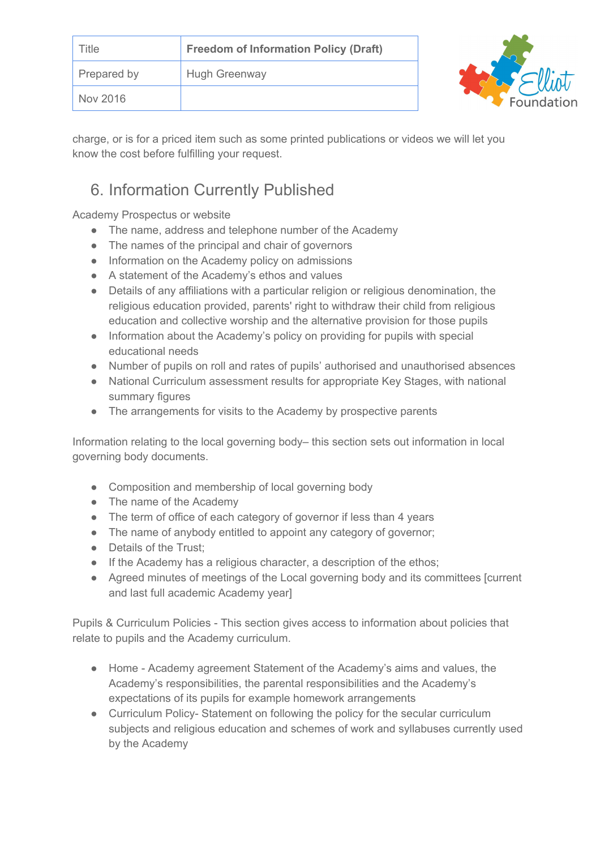| <b>Title</b>       | <b>Freedom of Information Policy (Draft)</b> |  |
|--------------------|----------------------------------------------|--|
| <b>Prepared by</b> | <b>Hugh Greenway</b>                         |  |
| Nov 2016           |                                              |  |

charge, or is for a priced item such as some printed publications or videos we will let you know the cost before fulfilling your request.

## 6. Information Currently Published

Academy Prospectus or website

- The name, address and telephone number of the Academy
- The names of the principal and chair of governors
- Information on the Academy policy on admissions
- A statement of the Academy's ethos and values
- Details of any affiliations with a particular religion or religious denomination, the religious education provided, parents' right to withdraw their child from religious education and collective worship and the alternative provision for those pupils
- Information about the Academy's policy on providing for pupils with special educational needs
- Number of pupils on roll and rates of pupils' authorised and unauthorised absences
- National Curriculum assessment results for appropriate Key Stages, with national summary figures
- The arrangements for visits to the Academy by prospective parents

Information relating to the local governing body– this section sets out information in local governing body documents.

- Composition and membership of local governing body
- The name of the Academy
- The term of office of each category of governor if less than 4 years
- The name of anybody entitled to appoint any category of governor;
- Details of the Trust:
- If the Academy has a religious character, a description of the ethos;
- Agreed minutes of meetings of the Local governing body and its committees [current and last full academic Academy year]

Pupils & Curriculum Policies - This section gives access to information about policies that relate to pupils and the Academy curriculum.

- Home Academy agreement Statement of the Academy's aims and values, the Academy's responsibilities, the parental responsibilities and the Academy's expectations of its pupils for example homework arrangements
- Curriculum Policy-Statement on following the policy for the secular curriculum subjects and religious education and schemes of work and syllabuses currently used by the Academy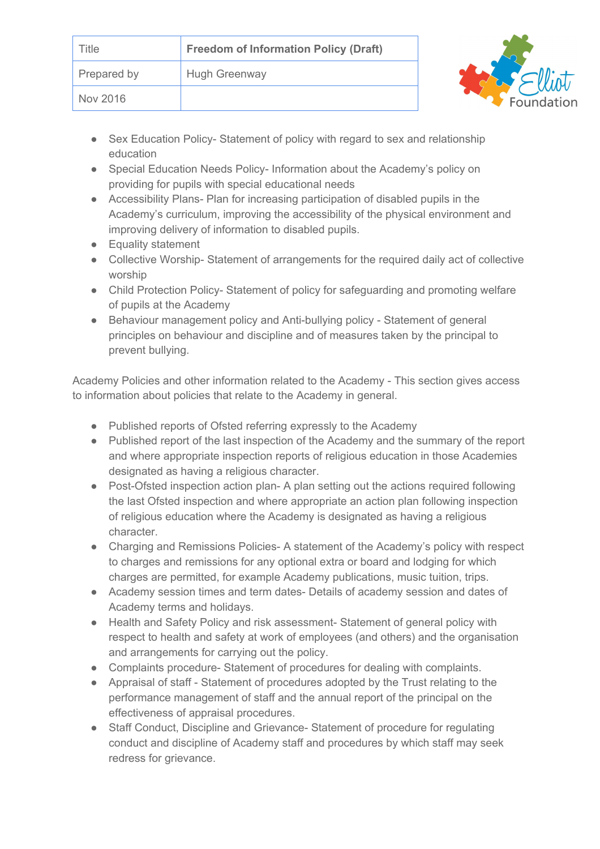| Title       | <b>Freedom of Information Policy (Draft)</b> |  |
|-------------|----------------------------------------------|--|
| Prepared by | <b>Hugh Greenway</b>                         |  |
| Nov 2016    |                                              |  |

- Sex Education Policy- Statement of policy with regard to sex and relationship education
- Special Education Needs Policy- Information about the Academy's policy on providing for pupils with special educational needs
- Accessibility Plans- Plan for increasing participation of disabled pupils in the Academy's curriculum, improving the accessibility of the physical environment and improving delivery of information to disabled pupils.
- Equality statement
- Collective Worship-Statement of arrangements for the required daily act of collective worship
- Child Protection Policy-Statement of policy for safeguarding and promoting welfare of pupils at the Academy
- Behaviour management policy and Anti-bullying policy Statement of general principles on behaviour and discipline and of measures taken by the principal to prevent bullying.

Academy Policies and other information related to the Academy - This section gives access to information about policies that relate to the Academy in general.

- Published reports of Ofsted referring expressly to the Academy
- Published report of the last inspection of the Academy and the summary of the report and where appropriate inspection reports of religious education in those Academies designated as having a religious character.
- Post-Ofsted inspection action plan- A plan setting out the actions required following the last Ofsted inspection and where appropriate an action plan following inspection of religious education where the Academy is designated as having a religious character.
- Charging and Remissions Policies- A statement of the Academy's policy with respect to charges and remissions for any optional extra or board and lodging for which charges are permitted, for example Academy publications, music tuition, trips.
- Academy session times and term dates- Details of academy session and dates of Academy terms and holidays.
- Health and Safety Policy and risk assessment-Statement of general policy with respect to health and safety at work of employees (and others) and the organisation and arrangements for carrying out the policy.
- Complaints procedure- Statement of procedures for dealing with complaints.
- Appraisal of staff Statement of procedures adopted by the Trust relating to the performance management of staff and the annual report of the principal on the effectiveness of appraisal procedures.
- Staff Conduct, Discipline and Grievance-Statement of procedure for regulating conduct and discipline of Academy staff and procedures by which staff may seek redress for grievance.